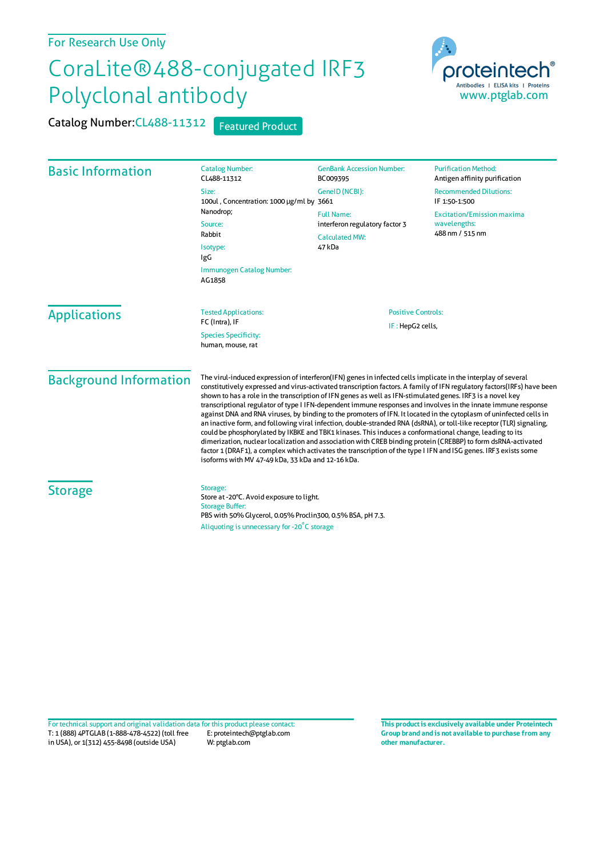## For Research Use Only

## CoraLite®488-conjugated IRF3 Polyclonal antibody

Catalog Number: CL488-11312 Featured Product



| <b>Basic Information</b>      | <b>Catalog Number:</b><br>CL488-11312                                                                                                                                                                                                                                                                                                                                                                                                                                                                                                                                                                                                                                                                                                                                                                                                                                                                                                                                                                                                                                                                                     | <b>GenBank Accession Number:</b><br>BC009395                                           | <b>Purification Method:</b><br>Antigen affinity purification         |
|-------------------------------|---------------------------------------------------------------------------------------------------------------------------------------------------------------------------------------------------------------------------------------------------------------------------------------------------------------------------------------------------------------------------------------------------------------------------------------------------------------------------------------------------------------------------------------------------------------------------------------------------------------------------------------------------------------------------------------------------------------------------------------------------------------------------------------------------------------------------------------------------------------------------------------------------------------------------------------------------------------------------------------------------------------------------------------------------------------------------------------------------------------------------|----------------------------------------------------------------------------------------|----------------------------------------------------------------------|
|                               | Size:<br>100ul, Concentration: 1000 µg/ml by 3661<br>Nanodrop;<br>Source:<br>Rabbit<br>Isotype:<br>IgG<br>Immunogen Catalog Number:<br>AG1858                                                                                                                                                                                                                                                                                                                                                                                                                                                                                                                                                                                                                                                                                                                                                                                                                                                                                                                                                                             | GeneID (NCBI):                                                                         | <b>Recommended Dilutions:</b><br>IF 1:50-1:500                       |
|                               |                                                                                                                                                                                                                                                                                                                                                                                                                                                                                                                                                                                                                                                                                                                                                                                                                                                                                                                                                                                                                                                                                                                           | <b>Full Name:</b><br>interferon regulatory factor 3<br><b>Calculated MW:</b><br>47 kDa | <b>Excitation/Emission maxima</b><br>wavelengths:<br>488 nm / 515 nm |
| <b>Applications</b>           | <b>Tested Applications:</b><br>FC (Intra), IF<br><b>Species Specificity:</b><br>human, mouse, rat                                                                                                                                                                                                                                                                                                                                                                                                                                                                                                                                                                                                                                                                                                                                                                                                                                                                                                                                                                                                                         | <b>Positive Controls:</b><br>IF: HepG2 cells,                                          |                                                                      |
| <b>Background Information</b> | The virul-induced expression of interferon(IFN) genes in infected cells implicate in the interplay of several<br>constitutively expressed and virus-activated transcription factors. A family of IFN regulatory factors(IRFs) have been<br>shown to has a role in the transcription of IFN genes as well as IFN-stimulated genes. IRF3 is a novel key<br>transcriptional regulator of type I IFN-dependent immune responses and involves in the innate immune response<br>against DNA and RNA viruses, by binding to the promoters of IFN. It located in the cytoplasm of uninfected cells in<br>an inactive form, and following viral infection, double-stranded RNA (dsRNA), or toll-like receptor (TLR) signaling,<br>could be phosphorylated by IKBKE and TBK1 kinases. This induces a conformational change, leading to its<br>dimerization, nuclear localization and association with CREB binding protein (CREBBP) to form dsRNA-activated<br>factor 1 (DRAF1), a complex which activates the transcription of the type I IFN and ISG genes. IRF3 exists some<br>isoforms with MV 47-49 kDa, 33 kDa and 12-16 kDa. |                                                                                        |                                                                      |
| <b>Storage</b>                | Storage:<br>Store at -20°C. Avoid exposure to light.<br><b>Storage Buffer:</b><br>PBS with 50% Glycerol, 0.05% Proclin300, 0.5% BSA, pH 7.3.<br>Aliquoting is unnecessary for -20°C storage                                                                                                                                                                                                                                                                                                                                                                                                                                                                                                                                                                                                                                                                                                                                                                                                                                                                                                                               |                                                                                        |                                                                      |

T: 1 (888) 4PTGLAB (1-888-478-4522) (toll free in USA), or 1(312) 455-8498 (outside USA) E: proteintech@ptglab.com W: ptglab.com Fortechnical support and original validation data forthis product please contact: **This productis exclusively available under Proteintech**

**Group brand and is not available to purchase from any other manufacturer.**